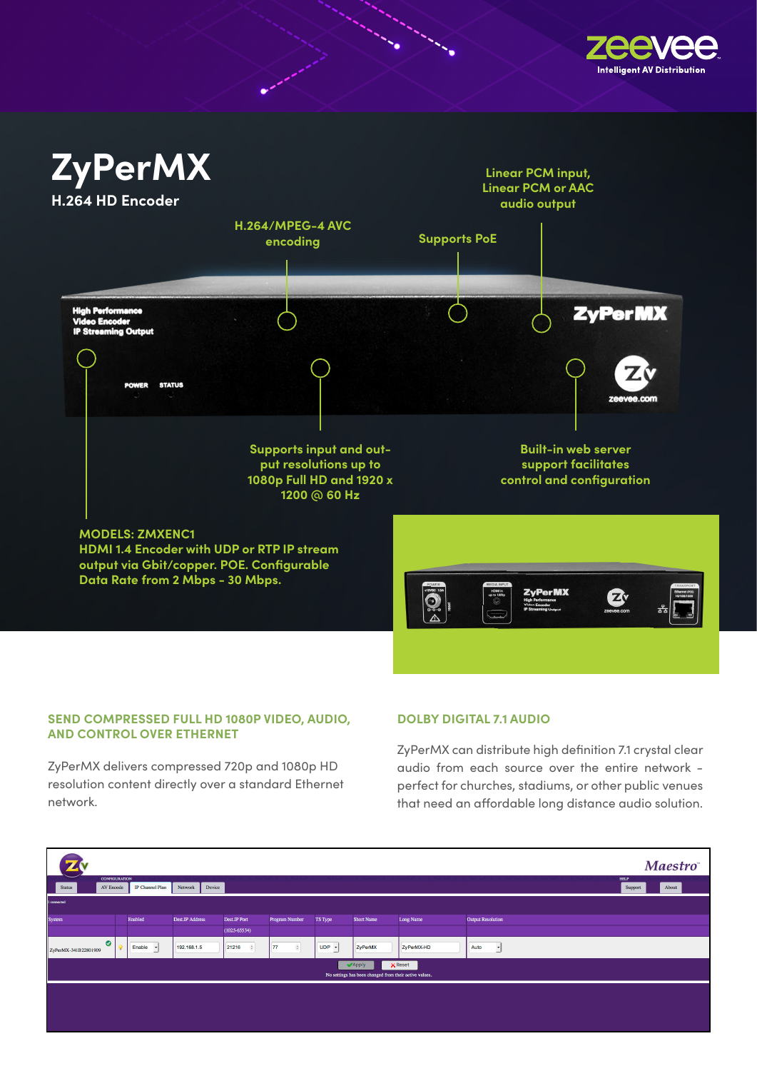



۰.

## SEND COMPRESSED FULL HD 1080P VIDEO, AUDIO, **AND CONTROL OVER ETHERNET**

 $\mathbf{F}$  and 1920  $\mathbf{F}$  and 1920  $\mathbf{F}$  are supported. ZyPerMX delivers compressed 720p and 1080p HD resolution content directly over a standard Ethernet network.

## **DOLBY DIGITAL 7.1 AUDIO**

ZyPerMX can distribute high definition 7.1 crystal clear audio from each source over the entire network perfect for churches, stadiums, or other public venues that need an affordable long distance audio solution.

|                                                                                   |  |                        |                   |                         |                      |                     |            |            |                          |                        | <b>Maestro</b> |
|-----------------------------------------------------------------------------------|--|------------------------|-------------------|-------------------------|----------------------|---------------------|------------|------------|--------------------------|------------------------|----------------|
| <b>CONFIGURATION</b><br><b>Status</b><br>AV Encode                                |  | <b>IP Channel Plan</b> | Network<br>Device |                         |                      |                     |            |            |                          | <b>HELP</b><br>Support | About          |
| 1 connected                                                                       |  |                        |                   |                         |                      |                     |            |            |                          |                        |                |
| System                                                                            |  | Enabled                | Dest.IP Address   | Dest.IP Port            | Program Number       | TS Type             | Short Name | Long Name  | <b>Output Resolution</b> |                        |                |
|                                                                                   |  |                        |                   | (1025.65534)            |                      |                     |            |            |                          |                        |                |
| $\bullet$<br>ZyPerMX-341B22801909                                                 |  | Enable -               | 192.168.1.5       | 21216<br>$\ddot{\circ}$ | $\circledcirc$<br>77 | $UDP$ $\rightarrow$ | ZyPerMX    | ZyPerMX-HD | Auto<br>$\overline{ }$   |                        |                |
| $\times$ Reset<br>Apply<br>No settings has been changed from their active values. |  |                        |                   |                         |                      |                     |            |            |                          |                        |                |
|                                                                                   |  |                        |                   |                         |                      |                     |            |            |                          |                        |                |
|                                                                                   |  |                        |                   |                         |                      |                     |            |            |                          |                        |                |
|                                                                                   |  |                        |                   |                         |                      |                     |            |            |                          |                        |                |